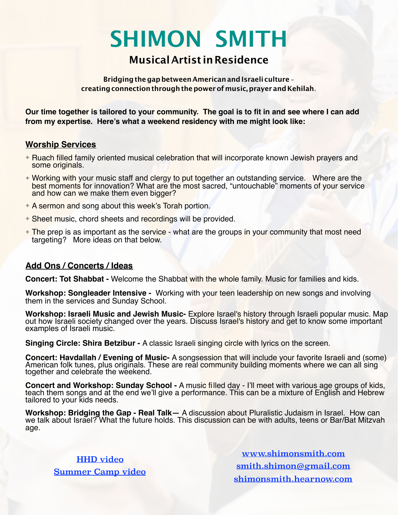# **SHIMON SMITH**

## **MusicalArtist inResidence**

#### **Bridgingthegapbetween AmericanandIsraeli culture creatingconnectionthroughthepowerofmusic,prayer and Kehilah**.

**Our time together is tailored to your community. The goal is to fit in and see where I can add from my expertise. Here's what a weekend residency with me might look like:** 

#### **Worship Services**

- ✦ Ruach filled family oriented musical celebration that will incorporate known Jewish prayers and some originals.
- ✦ Working with your music staff and clergy to put together an outstanding service. Where are the best moments for innovation? What are the most sacred, "untouchable" moments of your service and how can we make them even bigger?
- **★ A sermon and song about this week's Torah portion.**
- ✦ Sheet music, chord sheets and recordings will be provided.
- ✦ The prep is as important as the service what are the groups in your community that most need targeting? More ideas on that below.

### **Add Ons / Concerts / Ideas**

**Concert: Tot Shabbat -** Welcome the Shabbat with the whole family. Music for families and kids.

**Workshop: Songleader Intensive -** Working with your teen leadership on new songs and involving them in the services and Sunday School.

Workshop: Israeli Music and Jewish Music- Explore Israel's history through Israeli popular music. Map<br>out how Israeli society changed over the years. Discuss Israel's history and get to know some important<br>examples of Isra

**Singing Circle: Shira Betzibur - A classic Israeli singing circle with lyrics on the screen.** 

**Concert: Havdallah / Evening of Music-** A songsession that will include your favorite Israeli and (some) American folk tunes, plus originals. These are real community building moments where we can all sing together and celebrate the weekend.

**Concert and Workshop: Sunday School -** A music filled day - I'll meet with various age groups of kids, teach them songs and at the end we'll give a performance. This can be a mixture of English and Hebrew tailored to your kids needs.

**Workshop: Bridging the Gap - Real Talk—** A discussion about Pluralistic Judaism in Israel. How can we talk about Israel? What the future holds. This discussion can be with adults, teens or Bar/Bat Mitzvah age.

[HHD video](https://youtu.be/C25T9T_Tjuk) [Summer Camp video](https://www.youtube.com/watch?v=UmHcC28d7Go&t=2s)

[www.shimonsmith.com](http://www.shimonsmith.com) [smith.shimon@gmail.com](mailto:smith.shimon@gmail.com) [shimonsmith.hearnow.com](https://shimonsmith.hearnow.com/)